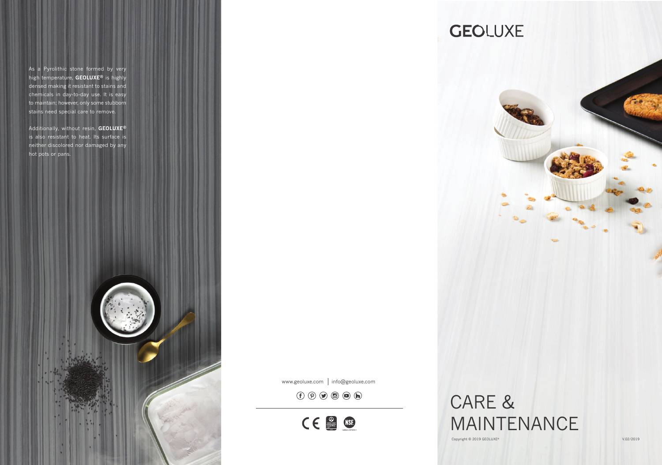MAINTENANCE

As a Pyrolithic stone formed by very high temperature, **GEOLUXE®** is highly densed making it resistant to stains and chemicals in day-to-day use. It is easy to maintain; however, only some stubborn stains need special care to remove.

# CARE & Copyright © 2019 GEOLUXE®

# **GEOLUXE**

Additionally, without resin, **GEOLUXE®** is also resistant to heat. Its surface is neither discolored nor damaged by any hot pots or pans.



www.geoluxe.com | info@geoluxe.com

 $\textcircled{f}\textcircled{g}\textcircled{g}\textcircled{g}\textcircled{h}$ 

CE SINSE